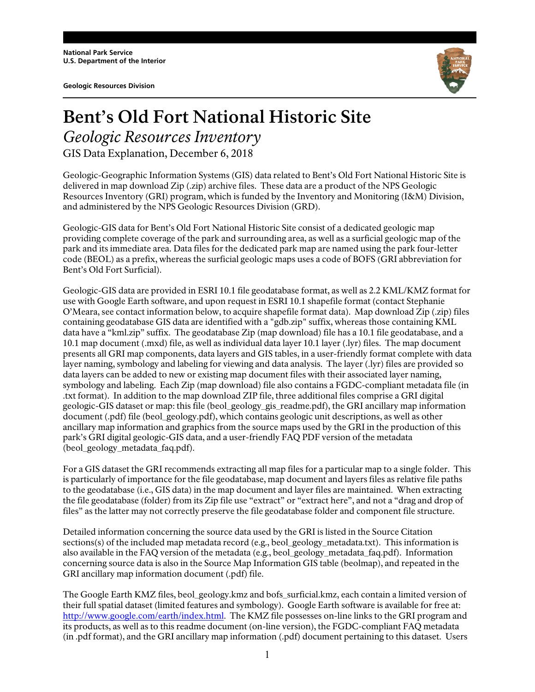**Geologic Resources Division** 



## **Bent's Old Fort National Historic Site** *Geologic Resources Inventory*

GIS Data Explanation, December 6, 2018

Geologic-Geographic Information Systems (GIS) data related to Bent's Old Fort National Historic Site is delivered in map download Zip (.zip) archive files. These data are a product of the NPS Geologic Resources Inventory (GRI) program, which is funded by the Inventory and Monitoring (I&M) Division, and administered by the NPS Geologic Resources Division (GRD).

Geologic-GIS data for Bent's Old Fort National Historic Site consist of a dedicated geologic map providing complete coverage of the park and surrounding area, as well as a surficial geologic map of the park and its immediate area. Data files for the dedicated park map are named using the park four-letter code (BEOL) as a prefix, whereas the surficial geologic maps uses a code of BOFS (GRI abbreviation for Bent's Old Fort Surficial).

Geologic-GIS data are provided in ESRI 10.1 file geodatabase format, as well as 2.2 KML/KMZ format for use with Google Earth software, and upon request in ESRI 10.1 shapefile format (contact Stephanie O'Meara, see contact information below, to acquire shapefile format data). Map download Zip (.zip) files containing geodatabase GIS data are identified with a "gdb.zip" suffix, whereas those containing KML data have a "kml.zip" suffix. The geodatabase Zip (map download) file has a 10.1 file geodatabase, and a 10.1 map document (.mxd) file, as well as individual data layer 10.1 layer (.lyr) files. The map document presents all GRI map components, data layers and GIS tables, in a user-friendly format complete with data layer naming, symbology and labeling for viewing and data analysis. The layer (.lyr) files are provided so data layers can be added to new or existing map document files with their associated layer naming, symbology and labeling. Each Zip (map download) file also contains a FGDC-compliant metadata file (in .txt format). In addition to the map download ZIP file, three additional files comprise a GRI digital geologic-GIS dataset or map: this file (beol\_geology\_gis\_readme.pdf), the GRI ancillary map information document (.pdf) file (beol\_geology.pdf), which contains geologic unit descriptions, as well as other ancillary map information and graphics from the source maps used by the GRI in the production of this park's GRI digital geologic-GIS data, and a user-friendly FAQ PDF version of the metadata (beol\_geology\_metadata\_faq.pdf).

For a GIS dataset the GRI recommends extracting all map files for a particular map to a single folder. This is particularly of importance for the file geodatabase, map document and layers files as relative file paths to the geodatabase (i.e., GIS data) in the map document and layer files are maintained. When extracting the file geodatabase (folder) from its Zip file use "extract" or "extract here", and not a "drag and drop of files" as the latter may not correctly preserve the file geodatabase folder and component file structure.

Detailed information concerning the source data used by the GRI is listed in the Source Citation sections(s) of the included map metadata record (e.g., beol\_geology\_metadata.txt). This information is also available in the FAQ version of the metadata (e.g., beol\_geology\_metadata\_faq.pdf). Information concerning source data is also in the Source Map Information GIS table (beolmap), and repeated in the GRI ancillary map information document (.pdf) file.

The Google Earth KMZ files, beol\_geology.kmz and bofs\_surficial.kmz, each contain a limited version of their full spatial dataset (limited features and symbology). Google Earth software is available for free at: http://www.google.com/earth/index.html. The KMZ file possesses on-line links to the GRI program and its products, as well as to this readme document (on-line version), the FGDC-compliant FAQ metadata (in .pdf format), and the GRI ancillary map information (.pdf) document pertaining to this dataset. Users